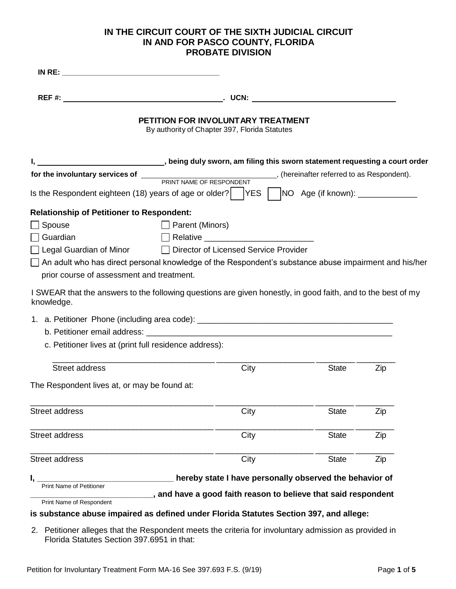## **IN THE CIRCUIT COURT OF THE SIXTH JUDICIAL CIRCUIT IN AND FOR PASCO COUNTY, FLORIDA PROBATE DIVISION**

|                                                                       | PETITION FOR INVOLUNTARY TREATMENT<br>By authority of Chapter 397, Florida Statutes                                                                     |              |     |
|-----------------------------------------------------------------------|---------------------------------------------------------------------------------------------------------------------------------------------------------|--------------|-----|
|                                                                       | being duly sworn, am filing this sworn statement requesting a court order ( , being duly sworn, am filing this sworn statement requesting a court order |              |     |
|                                                                       | for the involuntary services of <u>PRINT NAME OF RESPONDENT</u> , (hereinafter referred to as Respondent).                                              |              |     |
|                                                                       | Is the Respondent eighteen (18) years of age or older?   $ YES $ NO Age (if known): ____________                                                        |              |     |
|                                                                       |                                                                                                                                                         |              |     |
| <b>Relationship of Petitioner to Respondent:</b>                      |                                                                                                                                                         |              |     |
| $\Box$ Spouse                                                         | Parent (Minors)                                                                                                                                         |              |     |
| $\Box$ Guardian                                                       |                                                                                                                                                         |              |     |
|                                                                       | □ Legal Guardian of Minor □ Director of Licensed Service Provider                                                                                       |              |     |
|                                                                       |                                                                                                                                                         |              |     |
|                                                                       | $\Box$ An adult who has direct personal knowledge of the Respondent's substance abuse impairment and his/her                                            |              |     |
| prior course of assessment and treatment.                             |                                                                                                                                                         |              |     |
|                                                                       | I SWEAR that the answers to the following questions are given honestly, in good faith, and to the best of my                                            |              |     |
|                                                                       |                                                                                                                                                         |              |     |
|                                                                       |                                                                                                                                                         |              |     |
| c. Petitioner lives at (print full residence address):                |                                                                                                                                                         |              |     |
| knowledge.<br><b>Street address</b>                                   | City                                                                                                                                                    | <b>State</b> | Zip |
|                                                                       |                                                                                                                                                         |              |     |
| The Respondent lives at, or may be found at:<br><b>Street address</b> | City                                                                                                                                                    | <b>State</b> | Zip |
| <b>Street address</b>                                                 | City                                                                                                                                                    | <b>State</b> | Zip |
| <b>Street address</b>                                                 | City                                                                                                                                                    | <b>State</b> | Zip |
| I,                                                                    | hereby state I have personally observed the behavior of                                                                                                 |              |     |

2. Petitioner alleges that the Respondent meets the criteria for involuntary admission as provided in Florida Statutes Section 397.6951 in that: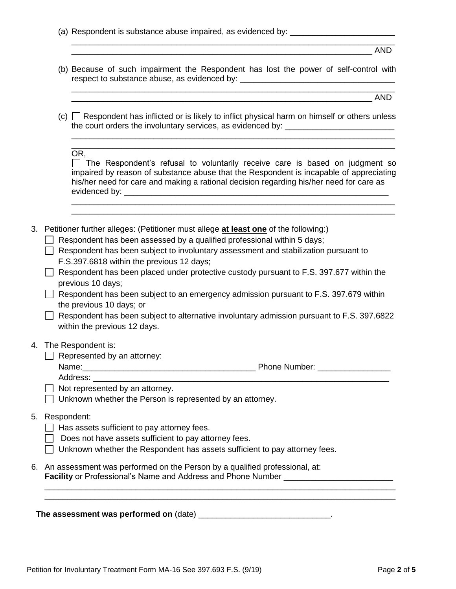(a) Respondent is substance abuse impaired, as evidenced by: \_\_\_\_\_\_\_\_\_\_\_\_\_\_\_\_\_\_\_

 $\Box$  AND

(b) Because of such impairment the Respondent has lost the power of self-control with respect to substance abuse, as evidenced by: \_\_\_\_\_\_\_\_\_\_\_\_\_\_\_\_\_\_\_\_\_\_\_\_\_\_\_\_\_\_\_\_\_\_

\_\_\_\_\_\_\_\_\_\_\_\_\_\_\_\_\_\_\_\_\_\_\_\_\_\_\_\_\_\_\_\_\_\_\_\_\_\_\_\_\_\_\_\_\_\_\_\_\_\_\_\_\_\_\_\_\_\_\_\_\_\_\_\_\_\_\_\_\_\_\_

\_\_\_\_\_\_\_\_\_\_\_\_\_\_\_\_\_\_\_\_\_\_\_\_\_\_\_\_\_\_\_\_\_\_\_\_\_\_\_\_\_\_\_\_\_\_\_\_\_\_\_\_\_\_\_\_\_\_\_\_\_\_\_\_\_\_\_\_\_\_\_

 $\blacksquare$ 

 $(c)$  Respondent has inflicted or is likely to inflict physical harm on himself or others unless the court orders the involuntary services, as evidenced by: \_\_\_\_\_\_\_\_\_\_\_\_\_\_\_\_\_\_\_\_

\_\_\_\_\_\_\_\_\_\_\_\_\_\_\_\_\_\_\_\_\_\_\_\_\_\_\_\_\_\_\_\_\_\_\_\_\_\_\_\_\_\_\_\_\_\_\_\_\_\_\_\_\_\_\_\_\_\_\_\_\_\_\_\_\_\_\_\_\_\_\_

OR,

| $\Box$ The Respondent's refusal to voluntarily receive care is based on judgment so     |
|-----------------------------------------------------------------------------------------|
| impaired by reason of substance abuse that the Respondent is incapable of appreciating  |
| his/her need for care and making a rational decision regarding his/her need for care as |
| evidenced by: ____                                                                      |
|                                                                                         |

\_\_\_\_\_\_\_\_\_\_\_\_\_\_\_\_\_\_\_\_\_\_\_\_\_\_\_\_\_\_\_\_\_\_\_\_\_\_\_\_\_\_\_\_\_\_\_\_\_\_\_\_\_\_\_\_\_\_\_\_\_\_\_\_\_\_\_\_\_\_\_

3. Petitioner further alleges: (Petitioner must allege **at least one** of the following:)

- $\Box$  Respondent has been assessed by a qualified professional within 5 days;
	- $\Box$  Respondent has been subject to involuntary assessment and stabilization pursuant to F.S.397.6818 within the previous 12 days;
	- $\Box$  Respondent has been placed under protective custody pursuant to F.S. 397.677 within the previous 10 days;

 $\Box$  Respondent has been subject to an emergency admission pursuant to F.S. 397.679 within the previous 10 days; or

 $\Box$  Respondent has been subject to alternative involuntary admission pursuant to F.S. 397.6822 within the previous 12 days.

## 4. The Respondent is:

- $\Box$  Represented by an attorney:
	- Name:\_\_\_\_\_\_\_\_\_\_\_\_\_\_\_\_\_\_\_\_\_\_\_\_\_\_\_\_\_\_\_\_\_\_\_\_\_\_ Phone Number: \_\_\_\_\_\_\_\_\_\_\_\_\_\_\_\_ Address: \_\_\_\_\_\_\_\_\_\_\_\_\_\_\_\_\_\_\_\_\_\_\_\_\_\_\_\_\_\_\_\_\_\_\_\_\_\_\_\_\_\_\_\_\_\_\_\_\_\_\_\_\_\_\_\_\_\_\_\_\_\_\_\_\_

\_\_\_\_\_\_\_\_\_\_\_\_\_\_\_\_\_\_\_\_\_\_\_\_\_\_\_\_\_\_\_\_\_\_\_\_\_\_\_\_\_\_\_\_\_\_\_\_\_\_\_\_\_\_\_\_\_\_\_\_\_\_\_\_\_\_\_\_\_\_\_\_\_\_\_\_\_ \_\_\_\_\_\_\_\_\_\_\_\_\_\_\_\_\_\_\_\_\_\_\_\_\_\_\_\_\_\_\_\_\_\_\_\_\_\_\_\_\_\_\_\_\_\_\_\_\_\_\_\_\_\_\_\_\_\_\_\_\_\_\_\_\_\_\_\_\_\_\_\_\_\_\_\_\_

- $\Box$  Not represented by an attorney.
- $\Box$  Unknown whether the Person is represented by an attorney.

## 5. Respondent:

- $\Box$  Has assets sufficient to pay attorney fees.
- $\Box$  Does not have assets sufficient to pay attorney fees.
- $\Box$  Unknown whether the Respondent has assets sufficient to pay attorney fees.
- 6. An assessment was performed on the Person by a qualified professional, at: **Facility** or Professional's Name and Address and Phone Number

**The assessment was performed on** (date) \_\_\_\_\_\_\_\_\_\_\_\_\_\_\_\_\_\_\_\_\_\_\_\_\_\_\_\_\_.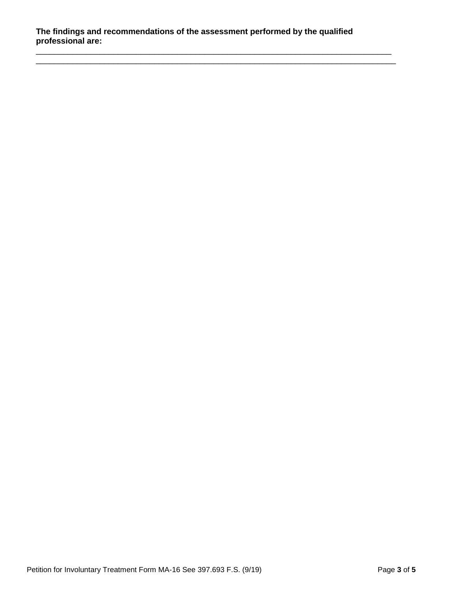$\overline{\phantom{a}}$  , and the contribution of the contribution of the contribution of the contribution of the contribution of the contribution of the contribution of the contribution of the contribution of the contribution of the \_\_\_\_\_\_\_\_\_\_\_\_\_\_\_\_\_\_\_\_\_\_\_\_\_\_\_\_\_\_\_\_\_\_\_\_\_\_\_\_\_\_\_\_\_\_\_\_\_\_\_\_\_\_\_\_\_\_\_\_\_\_\_\_\_\_\_\_\_\_\_\_\_\_\_\_\_\_\_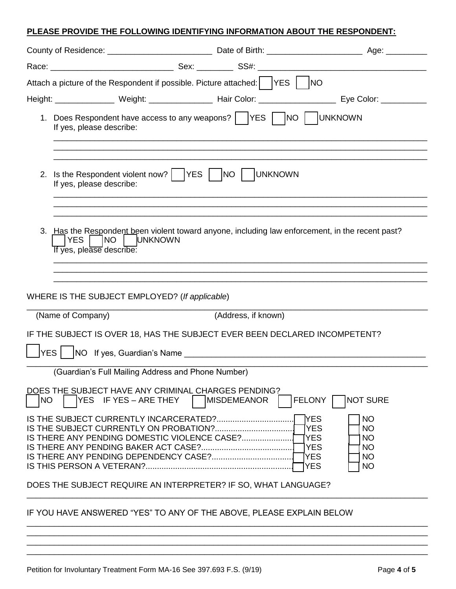## **PLEASE PROVIDE THE FOLLOWING IDENTIFYING INFORMATION ABOUT THE RESPONDENT:**

| Attach a picture of the Respondent if possible. Picture attached: $\vert$  YES   $\vert$ NO                                                                                                                                                 |                     |                                                                                                                                                     |
|---------------------------------------------------------------------------------------------------------------------------------------------------------------------------------------------------------------------------------------------|---------------------|-----------------------------------------------------------------------------------------------------------------------------------------------------|
| Height: __________________ Weight: __________________ Hair Color: _______________________ Eye Color: _________                                                                                                                              |                     |                                                                                                                                                     |
| 1. Does Respondent have access to any weapons?    YES    NO    UNKNOWN<br>If yes, please describe:                                                                                                                                          |                     |                                                                                                                                                     |
| 2. Is the Respondent violent now?     YES     NO  <br>If yes, please describe:                                                                                                                                                              | <b>UNKNOWN</b>      |                                                                                                                                                     |
| 3. Has the Respondent been violent toward anyone, including law enforcement, in the recent past?<br><b>TNO   UNKNOWN</b><br>YES  <br>If yes, please describe:                                                                               |                     |                                                                                                                                                     |
|                                                                                                                                                                                                                                             |                     |                                                                                                                                                     |
| WHERE IS THE SUBJECT EMPLOYED? (If applicable)                                                                                                                                                                                              |                     |                                                                                                                                                     |
| (Name of Company)                                                                                                                                                                                                                           | (Address, if known) |                                                                                                                                                     |
| IF THE SUBJECT IS OVER 18, HAS THE SUBJECT EVER BEEN DECLARED INCOMPETENT?                                                                                                                                                                  |                     |                                                                                                                                                     |
|                                                                                                                                                                                                                                             |                     |                                                                                                                                                     |
|                                                                                                                                                                                                                                             |                     |                                                                                                                                                     |
| (Guardian's Full Mailing Address and Phone Number)                                                                                                                                                                                          |                     |                                                                                                                                                     |
| DOES THE SUBJECT HAVE ANY CRIMINAL CHARGES PENDING?<br><b>NO</b><br><b>IYES</b> IF YES – ARE THEY                                                                                                                                           | <b>IMISDEMEANOR</b> | <b>NOT SURE</b><br><b>FELONY</b>                                                                                                                    |
| IS THE SUBJECT CURRENTLY INCARCERATED?<br>IS THE SUBJECT CURRENTLY ON PROBATION?<br>IS THERE ANY PENDING DOMESTIC VIOLENCE CASE?<br>IS THERE ANY PENDING DEPENDENCY CASE?<br>DOES THE SUBJECT REQUIRE AN INTERPRETER? IF SO, WHAT LANGUAGE? |                     | <b>TYES</b><br>NO<br><b>YES</b><br><b>NO</b><br>iYES<br><b>NO</b><br><b>IYES</b><br><b>NO</b><br><b>YES</b><br><b>NO</b><br><b>YES</b><br><b>NO</b> |
| IF YOU HAVE ANSWERED "YES" TO ANY OF THE ABOVE, PLEASE EXPLAIN BELOW                                                                                                                                                                        |                     |                                                                                                                                                     |
|                                                                                                                                                                                                                                             |                     |                                                                                                                                                     |
|                                                                                                                                                                                                                                             |                     |                                                                                                                                                     |

\_\_\_\_\_\_\_\_\_\_\_\_\_\_\_\_\_\_\_\_\_\_\_\_\_\_\_\_\_\_\_\_\_\_\_\_\_\_\_\_\_\_\_\_\_\_\_\_\_\_\_\_\_\_\_\_\_\_\_\_\_\_\_\_\_\_\_\_\_\_\_\_\_\_\_\_\_\_\_\_\_\_\_\_\_\_\_\_